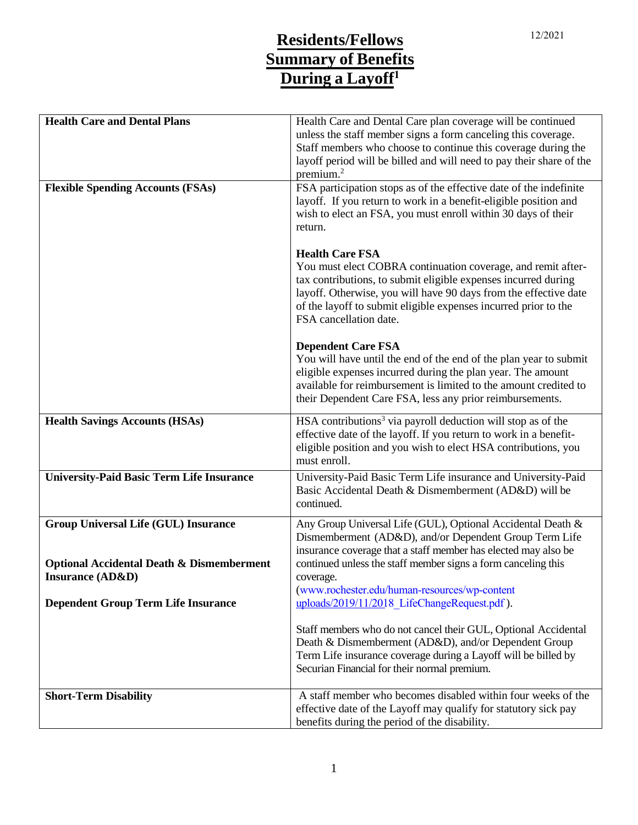## <sup>1</sup>2/2021 **Residents/Fellows Summary of Benefits During a Layoff<sup>1</sup>**

| <b>Health Care and Dental Plans</b>                  |                                                                          |
|------------------------------------------------------|--------------------------------------------------------------------------|
|                                                      | Health Care and Dental Care plan coverage will be continued              |
|                                                      | unless the staff member signs a form canceling this coverage.            |
|                                                      | Staff members who choose to continue this coverage during the            |
|                                                      | layoff period will be billed and will need to pay their share of the     |
|                                                      | premium. $2$                                                             |
| <b>Flexible Spending Accounts (FSAs)</b>             | FSA participation stops as of the effective date of the indefinite       |
|                                                      | layoff. If you return to work in a benefit-eligible position and         |
|                                                      | wish to elect an FSA, you must enroll within 30 days of their            |
|                                                      | return.                                                                  |
|                                                      |                                                                          |
|                                                      | <b>Health Care FSA</b>                                                   |
|                                                      | You must elect COBRA continuation coverage, and remit after-             |
|                                                      | tax contributions, to submit eligible expenses incurred during           |
|                                                      | layoff. Otherwise, you will have 90 days from the effective date         |
|                                                      | of the layoff to submit eligible expenses incurred prior to the          |
|                                                      | FSA cancellation date.                                                   |
|                                                      |                                                                          |
|                                                      | <b>Dependent Care FSA</b>                                                |
|                                                      | You will have until the end of the end of the plan year to submit        |
|                                                      | eligible expenses incurred during the plan year. The amount              |
|                                                      | available for reimbursement is limited to the amount credited to         |
|                                                      | their Dependent Care FSA, less any prior reimbursements.                 |
|                                                      |                                                                          |
| <b>Health Savings Accounts (HSAs)</b>                | HSA contributions <sup>3</sup> via payroll deduction will stop as of the |
|                                                      | effective date of the layoff. If you return to work in a benefit-        |
|                                                      | eligible position and you wish to elect HSA contributions, you           |
|                                                      | must enroll.                                                             |
| <b>University-Paid Basic Term Life Insurance</b>     | University-Paid Basic Term Life insurance and University-Paid            |
|                                                      | Basic Accidental Death & Dismemberment (AD&D) will be                    |
|                                                      | continued.                                                               |
| <b>Group Universal Life (GUL) Insurance</b>          | Any Group Universal Life (GUL), Optional Accidental Death &              |
|                                                      | Dismemberment (AD&D), and/or Dependent Group Term Life                   |
|                                                      | insurance coverage that a staff member has elected may also be           |
| <b>Optional Accidental Death &amp; Dismemberment</b> | continued unless the staff member signs a form canceling this            |
| <b>Insurance (AD&amp;D)</b>                          | coverage.                                                                |
|                                                      | (www.rochester.edu/human-resources/wp-content                            |
| <b>Dependent Group Term Life Insurance</b>           | uploads/2019/11/2018 LifeChangeRequest.pdf).                             |
|                                                      |                                                                          |
|                                                      | Staff members who do not cancel their GUL, Optional Accidental           |
|                                                      | Death & Dismemberment (AD&D), and/or Dependent Group                     |
|                                                      | Term Life insurance coverage during a Layoff will be billed by           |
|                                                      | Securian Financial for their normal premium.                             |
|                                                      |                                                                          |
| <b>Short-Term Disability</b>                         | A staff member who becomes disabled within four weeks of the             |
|                                                      | effective date of the Layoff may qualify for statutory sick pay          |
|                                                      | benefits during the period of the disability.                            |
|                                                      |                                                                          |